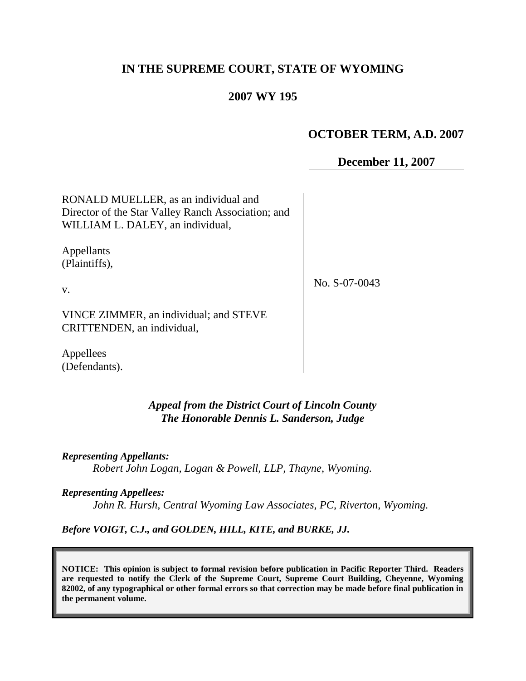# **IN THE SUPREME COURT, STATE OF WYOMING**

## **2007 WY 195**

## **OCTOBER TERM, A.D. 2007**

### **December 11, 2007**

RONALD MUELLER, as an individual and Director of the Star Valley Ranch Association; and WILLIAM L. DALEY, an individual,

Appellants (Plaintiffs),

v.

No. S-07-0043

VINCE ZIMMER, an individual; and STEVE CRITTENDEN, an individual,

Appellees (Defendants).

### *Appeal from the District Court of Lincoln County The Honorable Dennis L. Sanderson, Judge*

*Representing Appellants:*

*Robert John Logan, Logan & Powell, LLP, Thayne, Wyoming.*

#### *Representing Appellees:*

*John R. Hursh, Central Wyoming Law Associates, PC, Riverton, Wyoming.*

*Before VOIGT, C.J., and GOLDEN, HILL, KITE, and BURKE, JJ.*

**NOTICE: This opinion is subject to formal revision before publication in Pacific Reporter Third. Readers are requested to notify the Clerk of the Supreme Court, Supreme Court Building, Cheyenne, Wyoming 82002, of any typographical or other formal errors so that correction may be made before final publication in the permanent volume.**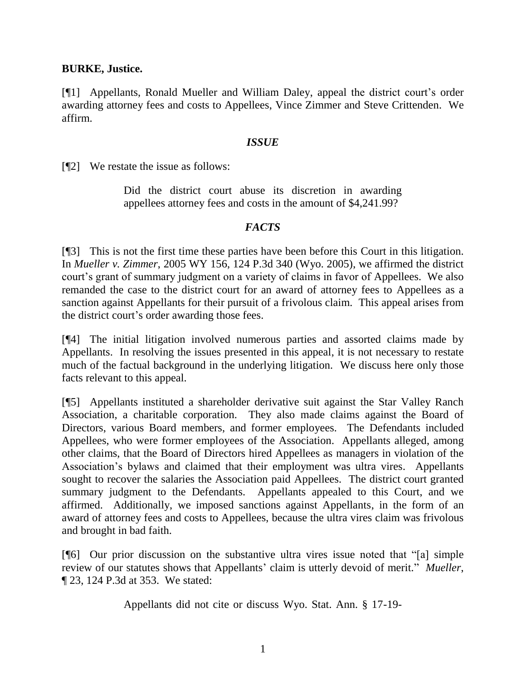### **BURKE, Justice.**

[¶1] Appellants, Ronald Mueller and William Daley, appeal the district court's order awarding attorney fees and costs to Appellees, Vince Zimmer and Steve Crittenden. We affirm.

#### *ISSUE*

[¶2] We restate the issue as follows:

Did the district court abuse its discretion in awarding appellees attorney fees and costs in the amount of \$4,241.99?

#### *FACTS*

[¶3] This is not the first time these parties have been before this Court in this litigation. In *Mueller v. Zimmer*, 2005 WY 156, 124 P.3d 340 (Wyo. 2005), we affirmed the district court's grant of summary judgment on a variety of claims in favor of Appellees. We also remanded the case to the district court for an award of attorney fees to Appellees as a sanction against Appellants for their pursuit of a frivolous claim. This appeal arises from the district court's order awarding those fees.

[¶4] The initial litigation involved numerous parties and assorted claims made by Appellants. In resolving the issues presented in this appeal, it is not necessary to restate much of the factual background in the underlying litigation. We discuss here only those facts relevant to this appeal.

[¶5] Appellants instituted a shareholder derivative suit against the Star Valley Ranch Association, a charitable corporation. They also made claims against the Board of Directors, various Board members, and former employees. The Defendants included Appellees, who were former employees of the Association. Appellants alleged, among other claims, that the Board of Directors hired Appellees as managers in violation of the Association's bylaws and claimed that their employment was ultra vires. Appellants sought to recover the salaries the Association paid Appellees. The district court granted summary judgment to the Defendants. Appellants appealed to this Court, and we affirmed. Additionally, we imposed sanctions against Appellants, in the form of an award of attorney fees and costs to Appellees, because the ultra vires claim was frivolous and brought in bad faith.

[¶6] Our prior discussion on the substantive ultra vires issue noted that "[a] simple review of our statutes shows that Appellants' claim is utterly devoid of merit." *Mueller*, ¶ 23, 124 P.3d at 353. We stated:

Appellants did not cite or discuss Wyo. Stat. Ann. § 17-19-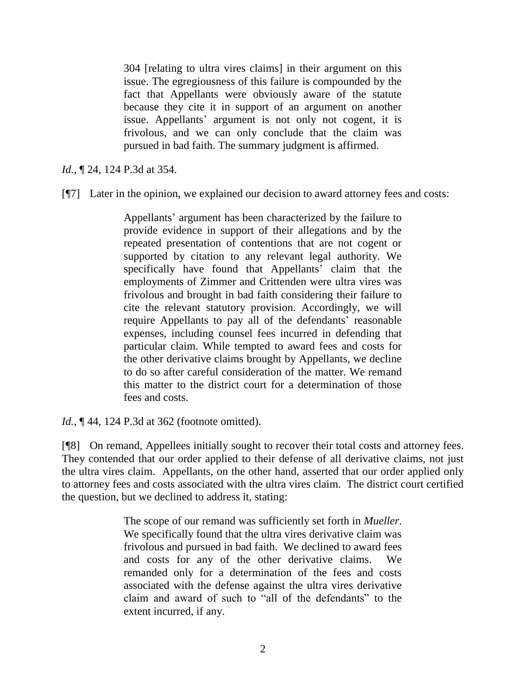304 [relating to ultra vires claims] in their argument on this issue. The egregiousness of this failure is compounded by the fact that Appellants were obviously aware of the statute because they cite it in support of an argument on another issue. Appellants' argument is not only not cogent, it is frivolous, and we can only conclude that the claim was pursued in bad faith. The summary judgment is affirmed.

*Id.*, ¶ 24, 124 P.3d at 354.

[¶7] Later in the opinion, we explained our decision to award attorney fees and costs:

Appellants' argument has been characterized by the failure to provide evidence in support of their allegations and by the repeated presentation of contentions that are not cogent or supported by citation to any relevant legal authority. We specifically have found that Appellants' claim that the employments of Zimmer and Crittenden were ultra vires was frivolous and brought in bad faith considering their failure to cite the relevant statutory provision. Accordingly, we will require Appellants to pay all of the defendants' reasonable expenses, including counsel fees incurred in defending that particular claim. While tempted to award fees and costs for the other derivative claims brought by Appellants, we decline to do so after careful consideration of the matter. We remand this matter to the district court for a determination of those fees and costs.

*Id.*, **[44, 124 P.3d at 362** (footnote omitted).

[¶8] On remand, Appellees initially sought to recover their total costs and attorney fees. They contended that our order applied to their defense of all derivative claims, not just the ultra vires claim. Appellants, on the other hand, asserted that our order applied only to attorney fees and costs associated with the ultra vires claim. The district court certified the question, but we declined to address it, stating:

> The scope of our remand was sufficiently set forth in *Mueller*. We specifically found that the ultra vires derivative claim was frivolous and pursued in bad faith. We declined to award fees and costs for any of the other derivative claims. We remanded only for a determination of the fees and costs associated with the defense against the ultra vires derivative claim and award of such to "all of the defendants" to the extent incurred, if any.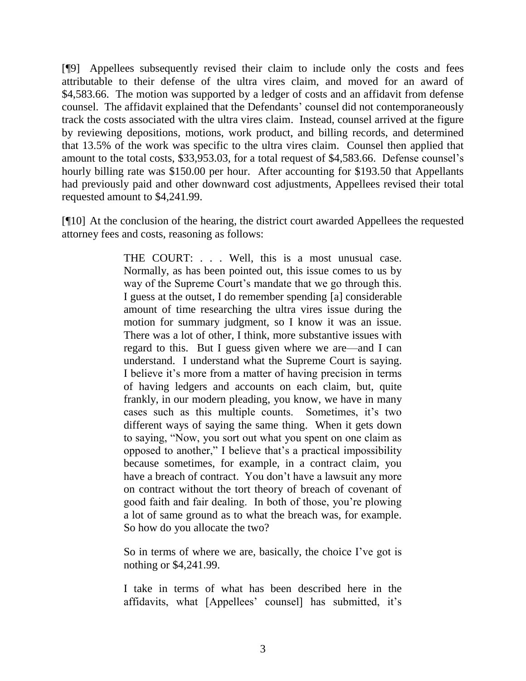[¶9] Appellees subsequently revised their claim to include only the costs and fees attributable to their defense of the ultra vires claim, and moved for an award of \$4,583.66. The motion was supported by a ledger of costs and an affidavit from defense counsel. The affidavit explained that the Defendants' counsel did not contemporaneously track the costs associated with the ultra vires claim. Instead, counsel arrived at the figure by reviewing depositions, motions, work product, and billing records, and determined that 13.5% of the work was specific to the ultra vires claim. Counsel then applied that amount to the total costs, \$33,953.03, for a total request of \$4,583.66. Defense counsel's hourly billing rate was \$150.00 per hour. After accounting for \$193.50 that Appellants had previously paid and other downward cost adjustments, Appellees revised their total requested amount to \$4,241.99.

[¶10] At the conclusion of the hearing, the district court awarded Appellees the requested attorney fees and costs, reasoning as follows:

> THE COURT: . . . Well, this is a most unusual case. Normally, as has been pointed out, this issue comes to us by way of the Supreme Court's mandate that we go through this. I guess at the outset, I do remember spending [a] considerable amount of time researching the ultra vires issue during the motion for summary judgment, so I know it was an issue. There was a lot of other, I think, more substantive issues with regard to this. But I guess given where we are—and I can understand. I understand what the Supreme Court is saying. I believe it's more from a matter of having precision in terms of having ledgers and accounts on each claim, but, quite frankly, in our modern pleading, you know, we have in many cases such as this multiple counts. Sometimes, it's two different ways of saying the same thing. When it gets down to saying, "Now, you sort out what you spent on one claim as opposed to another," I believe that's a practical impossibility because sometimes, for example, in a contract claim, you have a breach of contract. You don't have a lawsuit any more on contract without the tort theory of breach of covenant of good faith and fair dealing. In both of those, you're plowing a lot of same ground as to what the breach was, for example. So how do you allocate the two?

So in terms of where we are, basically, the choice I've got is nothing or \$4,241.99.

I take in terms of what has been described here in the affidavits, what [Appellees' counsel] has submitted, it's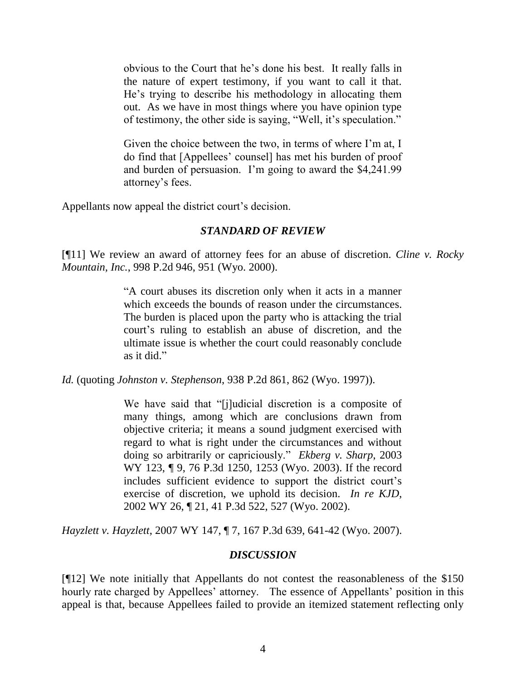obvious to the Court that he's done his best. It really falls in the nature of expert testimony, if you want to call it that. He's trying to describe his methodology in allocating them out. As we have in most things where you have opinion type of testimony, the other side is saying, "Well, it's speculation."

Given the choice between the two, in terms of where I'm at, I do find that [Appellees' counsel] has met his burden of proof and burden of persuasion. I'm going to award the \$4,241.99 attorney's fees.

Appellants now appeal the district court's decision.

### *STANDARD OF REVIEW*

[¶11] We review an award of attorney fees for an abuse of discretion. *Cline v. Rocky Mountain, Inc.*, 998 P.2d 946, 951 (Wyo. 2000).

> "A court abuses its discretion only when it acts in a manner which exceeds the bounds of reason under the circumstances. The burden is placed upon the party who is attacking the trial court's ruling to establish an abuse of discretion, and the ultimate issue is whether the court could reasonably conclude as it did."

*Id.* (quoting *Johnston v. Stephenson*, 938 P.2d 861, 862 (Wyo. 1997)).

We have said that "[j]udicial discretion is a composite of many things, among which are conclusions drawn from objective criteria; it means a sound judgment exercised with regard to what is right under the circumstances and without doing so arbitrarily or capriciously." *Ekberg v. Sharp*, 2003 WY 123, ¶ 9, 76 P.3d 1250, 1253 (Wyo. 2003). If the record includes sufficient evidence to support the district court's exercise of discretion, we uphold its decision. *In re KJD*, 2002 WY 26, ¶ 21, 41 P.3d 522, 527 (Wyo. 2002).

*Hayzlett v. Hayzlett*, 2007 WY 147, ¶ 7, 167 P.3d 639, 641-42 (Wyo. 2007).

### *DISCUSSION*

[¶12] We note initially that Appellants do not contest the reasonableness of the \$150 hourly rate charged by Appellees' attorney. The essence of Appellants' position in this appeal is that, because Appellees failed to provide an itemized statement reflecting only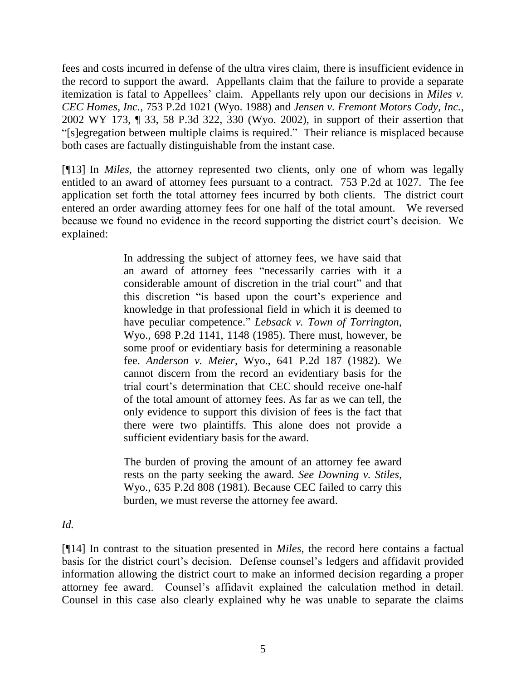fees and costs incurred in defense of the ultra vires claim, there is insufficient evidence in the record to support the award. Appellants claim that the failure to provide a separate itemization is fatal to Appellees' claim. Appellants rely upon our decisions in *Miles v. CEC Homes, Inc.*, 753 P.2d 1021 (Wyo. 1988) and *Jensen v. Fremont Motors Cody, Inc.*, 2002 WY 173, ¶ 33, 58 P.3d 322, 330 (Wyo. 2002), in support of their assertion that "[s]egregation between multiple claims is required." Their reliance is misplaced because both cases are factually distinguishable from the instant case.

[¶13] In *Miles*, the attorney represented two clients, only one of whom was legally entitled to an award of attorney fees pursuant to a contract. 753 P.2d at 1027. The fee application set forth the total attorney fees incurred by both clients. The district court entered an order awarding attorney fees for one half of the total amount. We reversed because we found no evidence in the record supporting the district court's decision. We explained:

> In addressing the subject of attorney fees, we have said that an award of attorney fees "necessarily carries with it a considerable amount of discretion in the trial court" and that this discretion "is based upon the court's experience and knowledge in that professional field in which it is deemed to have peculiar competence." *Lebsack v. Town of Torrington*, Wyo., 698 P.2d 1141, 1148 (1985). There must, however, be some proof or evidentiary basis for determining a reasonable fee. *Anderson v. Meier*, Wyo., 641 P.2d 187 (1982). We cannot discern from the record an evidentiary basis for the trial court's determination that CEC should receive one-half of the total amount of attorney fees. As far as we can tell, the only evidence to support this division of fees is the fact that there were two plaintiffs. This alone does not provide a sufficient evidentiary basis for the award.

> The burden of proving the amount of an attorney fee award rests on the party seeking the award. *See Downing v. Stiles*, Wyo., 635 P.2d 808 (1981). Because CEC failed to carry this burden, we must reverse the attorney fee award.

*Id.*

[¶14] In contrast to the situation presented in *Miles*, the record here contains a factual basis for the district court's decision. Defense counsel's ledgers and affidavit provided information allowing the district court to make an informed decision regarding a proper attorney fee award. Counsel's affidavit explained the calculation method in detail. Counsel in this case also clearly explained why he was unable to separate the claims